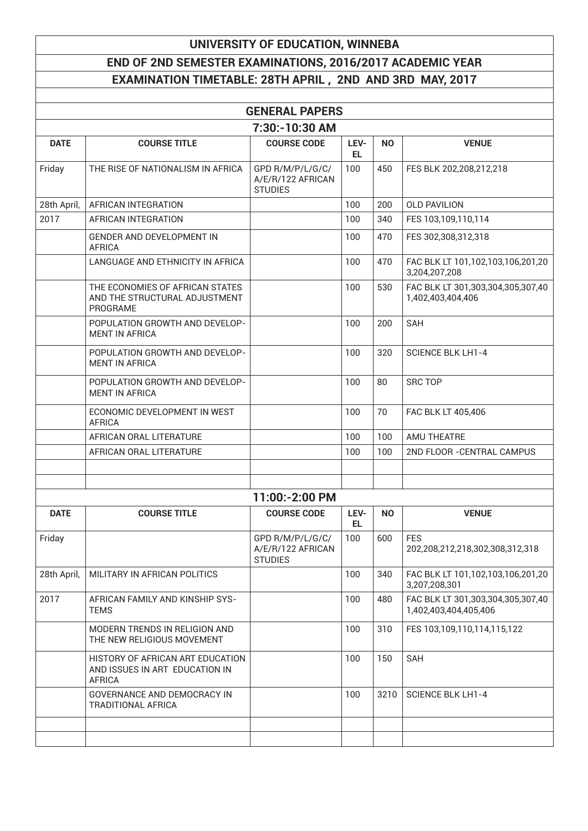## **UNIVERSITY OF EDUCATION, WINNEBA**

## **END OF 2ND SEMESTER EXAMINATIONS, 2016/2017 ACADEMIC YEAR EXAMINATION TIMETABLE: 28TH APRIL , 2ND AND 3RD MAY, 2017**

|             |                                                                                     | <b>GENERAL PAPERS</b>                                   |             |           |                                                            |
|-------------|-------------------------------------------------------------------------------------|---------------------------------------------------------|-------------|-----------|------------------------------------------------------------|
|             |                                                                                     | 7:30:-10:30 AM                                          |             |           |                                                            |
| <b>DATE</b> | <b>COURSE TITLE</b>                                                                 | <b>COURSE CODE</b>                                      | LEV-<br>EL. | <b>NO</b> | <b>VENUE</b>                                               |
| Friday      | THE RISE OF NATIONALISM IN AFRICA                                                   | GPD R/M/P/L/G/C/<br>A/E/R/122 AFRICAN<br><b>STUDIES</b> | 100         | 450       | FES BLK 202,208,212,218                                    |
| 28th April, | AFRICAN INTEGRATION                                                                 |                                                         | 100         | 200       | <b>OLD PAVILION</b>                                        |
| 2017        | AFRICAN INTEGRATION                                                                 |                                                         | 100         | 340       | FES 103,109,110,114                                        |
|             | <b>GENDER AND DEVELOPMENT IN</b><br><b>AFRICA</b>                                   |                                                         | 100         | 470       | FES 302,308,312,318                                        |
|             | LANGUAGE AND ETHNICITY IN AFRICA                                                    |                                                         | 100         | 470       | FAC BLK LT 101,102,103,106,201,20<br>3,204,207,208         |
|             | THE ECONOMIES OF AFRICAN STATES<br>AND THE STRUCTURAL ADJUSTMENT<br>PROGRAME        |                                                         | 100         | 530       | FAC BLK LT 301,303,304,305,307,40<br>1,402,403,404,406     |
|             | POPULATION GROWTH AND DEVELOP-<br><b>MENT IN AFRICA</b>                             |                                                         | 100         | 200       | SAH                                                        |
|             | POPULATION GROWTH AND DEVELOP-<br><b>MENT IN AFRICA</b>                             |                                                         | 100         | 320       | <b>SCIENCE BLK LH1-4</b>                                   |
|             | POPULATION GROWTH AND DEVELOP-<br><b>MENT IN AFRICA</b>                             |                                                         | 100         | 80        | <b>SRC TOP</b>                                             |
|             | ECONOMIC DEVELOPMENT IN WEST<br><b>AFRICA</b>                                       |                                                         | 100         | 70        | FAC BLK LT 405,406                                         |
|             | AFRICAN ORAL LITERATURE                                                             |                                                         | 100         | 100       | AMU THEATRE                                                |
|             | AFRICAN ORAL LITERATURE                                                             |                                                         | 100         | 100       | 2ND FLOOR - CENTRAL CAMPUS                                 |
|             |                                                                                     |                                                         |             |           |                                                            |
|             |                                                                                     |                                                         |             |           |                                                            |
|             |                                                                                     | 11:00:-2:00 PM                                          |             |           |                                                            |
| <b>DATE</b> | <b>COURSE TITLE</b>                                                                 | <b>COURSE CODE</b>                                      | LEV-<br>EL. | <b>NO</b> | <b>VENUE</b>                                               |
| Friday      |                                                                                     | GPD R/M/P/L/G/C/<br>A/E/R/122 AFRICAN<br><b>STUDIES</b> | 100         | 600       | <b>FES</b><br>202,208,212,218,302,308,312,318              |
| 28th April, | MILITARY IN AFRICAN POLITICS                                                        |                                                         | 100         | 340       | FAC BLK LT 101,102,103,106,201,20<br>3,207,208,301         |
| 2017        | AFRICAN FAMILY AND KINSHIP SYS-<br><b>TEMS</b>                                      |                                                         | 100         | 480       | FAC BLK LT 301,303,304,305,307,40<br>1,402,403,404,405,406 |
|             | MODERN TRENDS IN RELIGION AND<br>THE NEW RELIGIOUS MOVEMENT                         |                                                         | 100         | 310       | FES 103,109,110,114,115,122                                |
|             | HISTORY OF AFRICAN ART EDUCATION<br>AND ISSUES IN ART EDUCATION IN<br><b>AFRICA</b> |                                                         | 100         | 150       | SAH                                                        |
|             | GOVERNANCE AND DEMOCRACY IN<br><b>TRADITIONAL AFRICA</b>                            |                                                         | 100         | 3210      | <b>SCIENCE BLK LH1-4</b>                                   |
|             |                                                                                     |                                                         |             |           |                                                            |
|             |                                                                                     |                                                         |             |           |                                                            |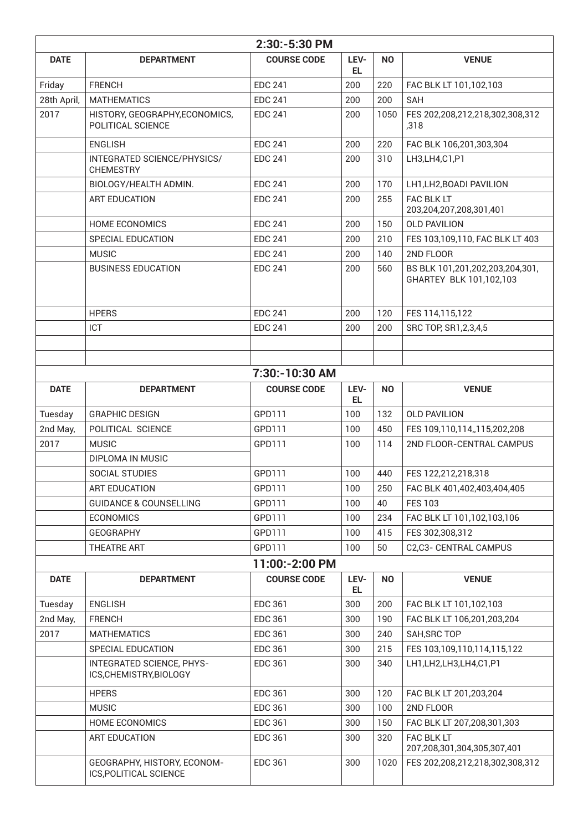|             |                                                             | 2:30:-5:30 PM      |             |           |                                                            |
|-------------|-------------------------------------------------------------|--------------------|-------------|-----------|------------------------------------------------------------|
| <b>DATE</b> | <b>DEPARTMENT</b>                                           | <b>COURSE CODE</b> | LEV-<br>EL. | <b>NO</b> | <b>VENUE</b>                                               |
| Friday      | <b>FRENCH</b>                                               | <b>EDC 241</b>     | 200         | 220       | FAC BLK LT 101,102,103                                     |
| 28th April, | <b>MATHEMATICS</b>                                          | <b>EDC 241</b>     | 200         | 200       | SAH                                                        |
| 2017        | HISTORY, GEOGRAPHY, ECONOMICS,<br>POLITICAL SCIENCE         | <b>EDC 241</b>     | 200         | 1050      | FES 202,208,212,218,302,308,312<br>,318                    |
|             | <b>ENGLISH</b>                                              | <b>EDC 241</b>     | 200         | 220       | FAC BLK 106,201,303,304                                    |
|             | INTEGRATED SCIENCE/PHYSICS/<br><b>CHEMESTRY</b>             | <b>EDC 241</b>     | 200         | 310       | LH3, LH4, C1, P1                                           |
|             | BIOLOGY/HEALTH ADMIN.                                       | <b>EDC 241</b>     | 200         | 170       | LH1, LH2, BOADI PAVILION                                   |
|             | <b>ART EDUCATION</b>                                        | <b>EDC 241</b>     | 200         | 255       | FAC BLK LT<br>203,204,207,208,301,401                      |
|             | <b>HOME ECONOMICS</b>                                       | <b>EDC 241</b>     | 200         | 150       | <b>OLD PAVILION</b>                                        |
|             | SPECIAL EDUCATION                                           | <b>EDC 241</b>     | 200         | 210       | FES 103,109,110, FAC BLK LT 403                            |
|             | <b>MUSIC</b>                                                | <b>EDC 241</b>     | 200         | 140       | 2ND FLOOR                                                  |
|             | <b>BUSINESS EDUCATION</b>                                   | <b>EDC 241</b>     | 200         | 560       | BS BLK 101,201,202,203,204,301,<br>GHARTEY BLK 101,102,103 |
|             | <b>HPERS</b>                                                | <b>EDC 241</b>     | 200         | 120       | FES 114,115,122                                            |
|             | ICT                                                         | <b>EDC 241</b>     | 200         | 200       | SRC TOP, SR1, 2, 3, 4, 5                                   |
|             |                                                             |                    |             |           |                                                            |
|             |                                                             |                    |             |           |                                                            |
|             |                                                             | 7:30:-10:30 AM     |             |           |                                                            |
| <b>DATE</b> | <b>DEPARTMENT</b>                                           | <b>COURSE CODE</b> | LEV-<br>EL. | <b>NO</b> | <b>VENUE</b>                                               |
| Tuesday     | <b>GRAPHIC DESIGN</b>                                       | GPD111             | 100         | 132       | <b>OLD PAVILION</b>                                        |
| 2nd May,    | POLITICAL SCIENCE                                           | GPD111             | 100         | 450       | FES 109,110,114,,115,202,208                               |
| 2017        | <b>MUSIC</b><br>DIPLOMA IN MUSIC                            | GPD111             | 100         | 114       | 2ND FLOOR-CENTRAL CAMPUS                                   |
|             | SOCIAL STUDIES                                              | GPD111             | 100         | 440       | FES 122,212,218,318                                        |
|             | <b>ART EDUCATION</b>                                        | GPD111             | 100         | 250       | FAC BLK 401,402,403,404,405                                |
|             | <b>GUIDANCE &amp; COUNSELLING</b>                           | GPD111             | 100         | 40        | <b>FES 103</b>                                             |
|             | <b>ECONOMICS</b>                                            | GPD111             | 100         | 234       | FAC BLK LT 101,102,103,106                                 |
|             | <b>GEOGRAPHY</b>                                            | GPD111             | 100         | 415       | FES 302,308,312                                            |
|             | THEATRE ART                                                 | GPD111             | 100         | 50        | C2,C3- CENTRAL CAMPUS                                      |
|             |                                                             | 11:00:-2:00 PM     |             |           |                                                            |
| <b>DATE</b> | <b>DEPARTMENT</b>                                           | <b>COURSE CODE</b> | LEV-<br>EL. | <b>NO</b> | <b>VENUE</b>                                               |
| Tuesday     | <b>ENGLISH</b>                                              | <b>EDC 361</b>     | 300         | 200       | FAC BLK LT 101,102,103                                     |
| 2nd May,    | <b>FRENCH</b>                                               | <b>EDC 361</b>     | 300         | 190       | FAC BLK LT 106,201,203,204                                 |
| 2017        | <b>MATHEMATICS</b>                                          | <b>EDC 361</b>     | 300         | 240       | SAH, SRC TOP                                               |
|             | SPECIAL EDUCATION                                           | <b>EDC 361</b>     | 300         | 215       | FES 103,109,110,114,115,122                                |
|             | <b>INTEGRATED SCIENCE, PHYS-</b><br>ICS, CHEMISTRY, BIOLOGY | <b>EDC 361</b>     | 300         | 340       | LH1, LH2, LH3, LH4, C1, P1                                 |
|             | <b>HPERS</b>                                                | <b>EDC 361</b>     | 300         | 120       | FAC BLK LT 201,203,204                                     |
|             | <b>MUSIC</b>                                                | <b>EDC 361</b>     | 300         | 100       | 2ND FLOOR                                                  |
|             | HOME ECONOMICS                                              | <b>EDC 361</b>     | 300         | 150       | FAC BLK LT 207,208,301,303                                 |
|             | <b>ART EDUCATION</b>                                        | <b>EDC 361</b>     | 300         | 320       | FAC BLK LT<br>207,208,301,304,305,307,401                  |
|             | GEOGRAPHY, HISTORY, ECONOM-<br>ICS, POLITICAL SCIENCE       | <b>EDC 361</b>     | 300         | 1020      | FES 202,208,212,218,302,308,312                            |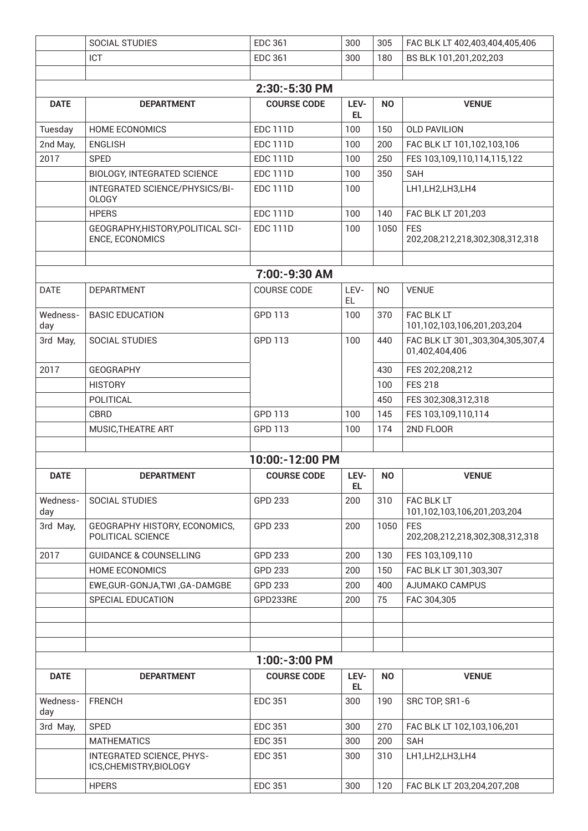|                 | <b>SOCIAL STUDIES</b>                                 | <b>EDC 361</b>     | 300         | 305            | FAC BLK LT 402,403,404,405,406                      |
|-----------------|-------------------------------------------------------|--------------------|-------------|----------------|-----------------------------------------------------|
|                 | ICT                                                   | <b>EDC 361</b>     | 300         | 180            | BS BLK 101,201,202,203                              |
|                 |                                                       |                    |             |                |                                                     |
|                 |                                                       | 2:30:-5:30 PM      |             |                |                                                     |
| <b>DATE</b>     | <b>DEPARTMENT</b>                                     | <b>COURSE CODE</b> | LEV-<br>EL. | N <sub>O</sub> | <b>VENUE</b>                                        |
| Tuesday         | HOME ECONOMICS                                        | <b>EDC 111D</b>    | 100         | 150            | <b>OLD PAVILION</b>                                 |
| 2nd May,        | <b>ENGLISH</b>                                        | <b>EDC 111D</b>    | 100         | 200            | FAC BLK LT 101,102,103,106                          |
| 2017            | <b>SPED</b>                                           | <b>EDC 111D</b>    | 100         | 250            | FES 103,109,110,114,115,122                         |
|                 | <b>BIOLOGY, INTEGRATED SCIENCE</b>                    | <b>EDC 111D</b>    | 100         | 350            | <b>SAH</b>                                          |
|                 | INTEGRATED SCIENCE/PHYSICS/BI-<br><b>OLOGY</b>        | <b>EDC 111D</b>    | 100         |                | LH1, LH2, LH3, LH4                                  |
|                 | <b>HPERS</b>                                          | <b>EDC 111D</b>    | 100         | 140            | FAC BLK LT 201,203                                  |
|                 | GEOGRAPHY, HISTORY, POLITICAL SCI-<br>ENCE, ECONOMICS | <b>EDC 111D</b>    | 100         | 1050           | <b>FES</b><br>202,208,212,218,302,308,312,318       |
|                 |                                                       |                    |             |                |                                                     |
|                 |                                                       | 7:00:-9:30 AM      |             |                |                                                     |
| <b>DATE</b>     | <b>DEPARTMENT</b>                                     | <b>COURSE CODE</b> | LEV-<br>EL. | <b>NO</b>      | <b>VENUE</b>                                        |
| Wedness-<br>day | <b>BASIC EDUCATION</b>                                | GPD 113            | 100         | 370            | FAC BLK LT<br>101,102,103,106,201,203,204           |
| 3rd May,        | SOCIAL STUDIES                                        | GPD 113            | 100         | 440            | FAC BLK LT 301,,303,304,305,307,4<br>01,402,404,406 |
| 2017            | <b>GEOGRAPHY</b>                                      |                    |             | 430            | FES 202,208,212                                     |
|                 | <b>HISTORY</b>                                        |                    |             | 100            | <b>FES 218</b>                                      |
|                 | POLITICAL                                             |                    |             | 450            | FES 302,308,312,318                                 |
|                 | <b>CBRD</b>                                           | GPD 113            | 100         | 145            | FES 103,109,110,114                                 |
|                 | MUSIC, THEATRE ART                                    | GPD 113            | 100         | 174            | 2ND FLOOR                                           |
|                 |                                                       |                    |             |                |                                                     |
|                 |                                                       | 10:00:-12:00 PM    |             |                |                                                     |
| <b>DATE</b>     | <b>DEPARTMENT</b>                                     | <b>COURSE CODE</b> | LEV-<br>EL. | <b>NO</b>      | <b>VENUE</b>                                        |
| Wedness-<br>day | <b>SOCIAL STUDIES</b>                                 | GPD 233            | 200         | 310            | FAC BLK LT<br>101,102,103,106,201,203,204           |
| 3rd May,        | GEOGRAPHY HISTORY, ECONOMICS,<br>POLITICAL SCIENCE    | GPD 233            | 200         | 1050           | <b>FES</b><br>202,208,212,218,302,308,312,318       |
| 2017            | <b>GUIDANCE &amp; COUNSELLING</b>                     | GPD 233            | 200         | 130            | FES 103,109,110                                     |
|                 | HOME ECONOMICS                                        | GPD 233            | 200         | 150            | FAC BLK LT 301,303,307                              |
|                 | EWE, GUR-GONJA, TWI, GA-DAMGBE                        | GPD 233            | 200         | 400            | AJUMAKO CAMPUS                                      |
|                 | SPECIAL EDUCATION                                     | GPD233RE           | 200         | 75             | FAC 304,305                                         |
|                 |                                                       |                    |             |                |                                                     |
|                 |                                                       |                    |             |                |                                                     |
|                 |                                                       |                    |             |                |                                                     |
|                 |                                                       | $1:00:-3:00$ PM    |             |                |                                                     |
| <b>DATE</b>     | <b>DEPARTMENT</b>                                     | <b>COURSE CODE</b> | LEV-<br>EL. | <b>NO</b>      | <b>VENUE</b>                                        |
| Wedness-<br>day | <b>FRENCH</b>                                         | <b>EDC 351</b>     | 300         | 190            | SRC TOP, SR1-6                                      |
| 3rd May,        | <b>SPED</b>                                           | <b>EDC 351</b>     | 300         | 270            | FAC BLK LT 102,103,106,201                          |
|                 | <b>MATHEMATICS</b>                                    | <b>EDC 351</b>     | 300         | 200            | <b>SAH</b>                                          |
|                 | INTEGRATED SCIENCE, PHYS-<br>ICS, CHEMISTRY, BIOLOGY  | <b>EDC 351</b>     | 300         | 310            | LH1,LH2,LH3,LH4                                     |
|                 | <b>HPERS</b>                                          | <b>EDC 351</b>     | 300         | 120            | FAC BLK LT 203,204,207,208                          |